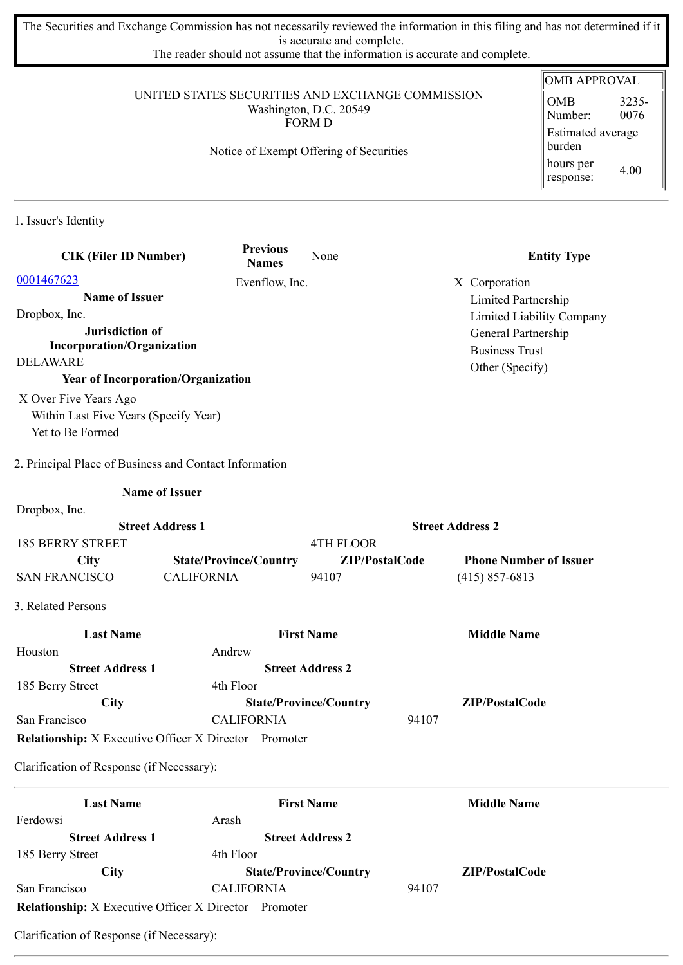The Securities and Exchange Commission has not necessarily reviewed the information in this filing and has not determined if it is accurate and complete.

The reader should not assume that the information is accurate and complete.

# UNITED STATES SECURITIES AND EXCHANGE COMMISSION Washington, D.C. 20549 FORM D

### Notice of Exempt Offering of Securities

| <b>OMB APPROVAL</b>                |               |  |  |
|------------------------------------|---------------|--|--|
| <b>OMB</b><br>Number:              | 3235-<br>0076 |  |  |
| <b>Estimated average</b><br>burden |               |  |  |
| hours per<br>response:             | 4.00          |  |  |

1. Issuer's Identity

| <b>CIK (Filer ID Number)</b>                              | <b>Previous</b><br><b>Names</b>                       | None                          | <b>Entity Type</b>            |
|-----------------------------------------------------------|-------------------------------------------------------|-------------------------------|-------------------------------|
| 0001467623                                                | Evenflow, Inc.                                        |                               | X Corporation                 |
| <b>Name of Issuer</b>                                     |                                                       |                               | Limited Partnership           |
| Dropbox, Inc.                                             |                                                       |                               | Limited Liability Company     |
| Jurisdiction of                                           |                                                       |                               | General Partnership           |
| <b>Incorporation/Organization</b>                         |                                                       |                               | <b>Business Trust</b>         |
| <b>DELAWARE</b>                                           |                                                       |                               | Other (Specify)               |
| <b>Year of Incorporation/Organization</b>                 |                                                       |                               |                               |
| X Over Five Years Ago                                     |                                                       |                               |                               |
| Within Last Five Years (Specify Year)<br>Yet to Be Formed |                                                       |                               |                               |
|                                                           |                                                       |                               |                               |
| 2. Principal Place of Business and Contact Information    |                                                       |                               |                               |
|                                                           | <b>Name of Issuer</b>                                 |                               |                               |
| Dropbox, Inc.                                             |                                                       |                               |                               |
|                                                           | <b>Street Address 1</b>                               |                               | <b>Street Address 2</b>       |
| <b>185 BERRY STREET</b>                                   |                                                       | <b>4TH FLOOR</b>              |                               |
| <b>City</b>                                               | <b>State/Province/Country</b>                         | ZIP/PostalCode                | <b>Phone Number of Issuer</b> |
| <b>SAN FRANCISCO</b>                                      | <b>CALIFORNIA</b>                                     | 94107                         | $(415) 857 - 6813$            |
| 3. Related Persons                                        |                                                       |                               |                               |
| <b>Last Name</b>                                          |                                                       | <b>First Name</b>             | <b>Middle Name</b>            |
| Houston                                                   | Andrew                                                |                               |                               |
| <b>Street Address 1</b>                                   |                                                       | <b>Street Address 2</b>       |                               |
| 185 Berry Street                                          | 4th Floor                                             |                               |                               |
| City                                                      |                                                       | <b>State/Province/Country</b> | ZIP/PostalCode                |
| San Francisco                                             | <b>CALIFORNIA</b>                                     | 94107                         |                               |
|                                                           | Relationship: X Executive Officer X Director Promoter |                               |                               |
| Clarification of Response (if Necessary):                 |                                                       |                               |                               |
| <b>Last Name</b>                                          |                                                       | <b>First Name</b>             | <b>Middle Name</b>            |
| Ferdowsi                                                  | Arash                                                 |                               |                               |
| <b>Street Address 1</b>                                   |                                                       | <b>Street Address 2</b>       |                               |
| 185 Berry Street                                          | 4th Floor                                             |                               |                               |
| <b>City</b>                                               |                                                       | <b>State/Province/Country</b> | ZIP/PostalCode                |

**Relationship:** X Executive Officer X Director Promoter

San Francisco CALIFORNIA 94107

Clarification of Response (if Necessary):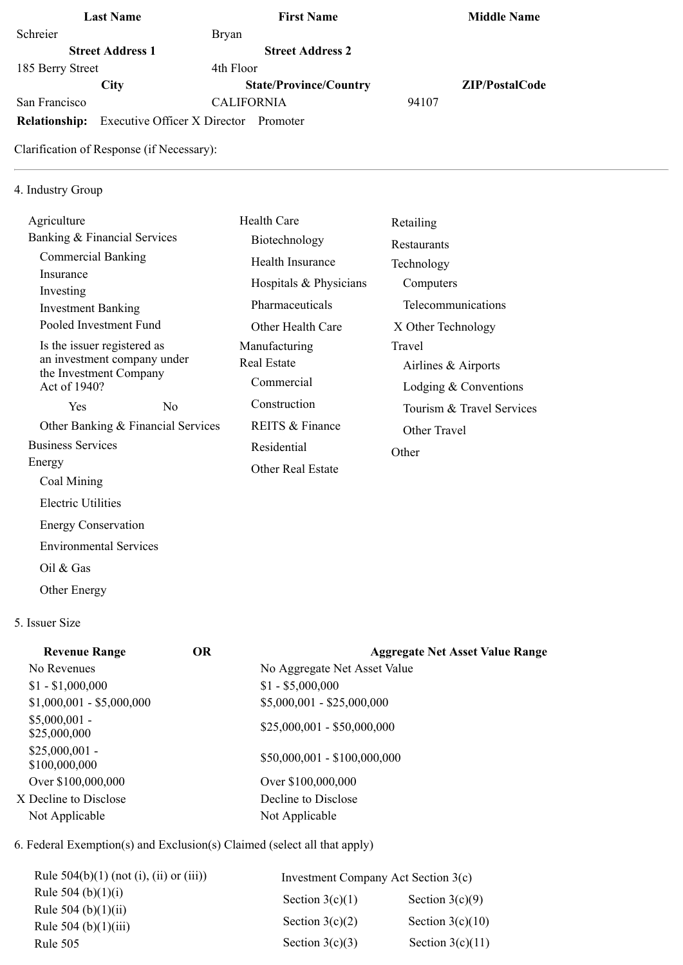|                      | <b>Last Name</b>                          | <b>First Name</b>             |       | <b>Middle Name</b>    |
|----------------------|-------------------------------------------|-------------------------------|-------|-----------------------|
| Schreier             |                                           | Bryan                         |       |                       |
|                      | <b>Street Address 1</b>                   | <b>Street Address 2</b>       |       |                       |
| 185 Berry Street     |                                           | 4th Floor                     |       |                       |
|                      | <b>City</b>                               | <b>State/Province/Country</b> |       | <b>ZIP/PostalCode</b> |
| San Francisco        |                                           | <b>CALIFORNIA</b>             | 94107 |                       |
| <b>Relationship:</b> | Executive Officer X Director Promoter     |                               |       |                       |
|                      | Clarification of Response (if Necessary): |                               |       |                       |

### 4. Industry Group

| Agriculture                                           |                                    | Health Care            | Retailing                 |
|-------------------------------------------------------|------------------------------------|------------------------|---------------------------|
| Banking & Financial Services                          |                                    | Biotechnology          | Restaurants               |
| <b>Commercial Banking</b>                             |                                    | Health Insurance       | Technology                |
| Insurance<br>Investing                                |                                    | Hospitals & Physicians | Computers                 |
| <b>Investment Banking</b>                             |                                    | Pharmaceuticals        | Telecommunications        |
| Pooled Investment Fund                                |                                    | Other Health Care      | X Other Technology        |
| Is the issuer registered as                           |                                    | Manufacturing          | Travel                    |
| an investment company under<br>the Investment Company |                                    | Real Estate            | Airlines & Airports       |
| Act of 1940?                                          |                                    | Commercial             | Lodging $&$ Conventions   |
| Yes                                                   | No.                                | Construction           | Tourism & Travel Services |
|                                                       | Other Banking & Financial Services | REITS & Finance        | Other Travel              |
| <b>Business Services</b>                              |                                    | Residential            | Other                     |
| Energy                                                |                                    | Other Real Estate      |                           |
| Coal Mining                                           |                                    |                        |                           |

#### 5. Issuer Size

Electric Utilities

Oil & Gas

Other Energy

 Energy Conservation Environmental Services

| <b>Revenue Range</b>             | <b>OR</b> | <b>Aggregate Net Asset Value Range</b> |
|----------------------------------|-----------|----------------------------------------|
| No Revenues                      |           | No Aggregate Net Asset Value           |
| $$1 - $1,000,000$                |           | $$1 - $5,000,000$                      |
| $$1,000,001 - $5,000,000$        |           | $$5,000,001 - $25,000,000$             |
| $$5,000,001$ -<br>\$25,000,000   |           | $$25,000,001 - $50,000,000$            |
| $$25,000,001$ -<br>\$100,000,000 |           | $$50,000,001 - $100,000,000$           |
| Over \$100,000,000               |           | Over \$100,000,000                     |
| X Decline to Disclose            |           | Decline to Disclose                    |
| Not Applicable                   |           | Not Applicable                         |

# 6. Federal Exemption(s) and Exclusion(s) Claimed (select all that apply)

| Rule $504(b)(1)$ (not (i), (ii) or (iii)) | Investment Company Act Section 3(c) |                    |
|-------------------------------------------|-------------------------------------|--------------------|
| Rule 504 (b) $(1)(i)$                     | Section $3(c)(1)$                   | Section $3(c)(9)$  |
| Rule 504 (b) $(1)(ii)$                    | Section $3(c)(2)$                   | Section $3(c)(10)$ |
| Rule 504 (b) $(1)(iii)$<br>Rule 505       | Section $3(c)(3)$                   | Section $3(c)(11)$ |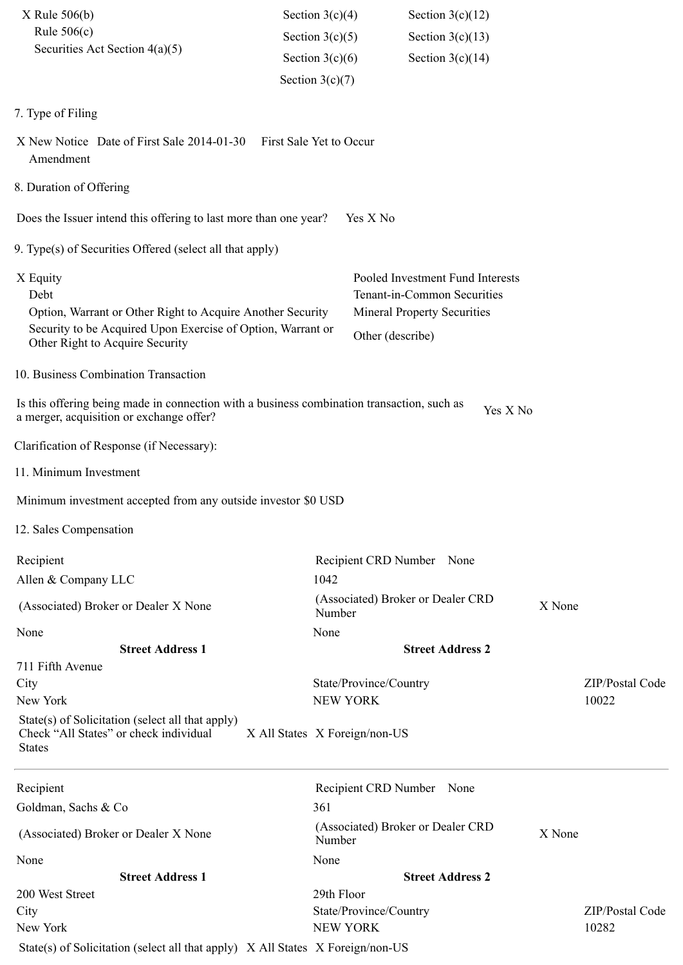| $X$ Rule 506(b)                                                                                                                        |                                                             | Section $3(c)(4)$ | Section $3(c)(12)$                              |          |                 |
|----------------------------------------------------------------------------------------------------------------------------------------|-------------------------------------------------------------|-------------------|-------------------------------------------------|----------|-----------------|
| Rule $506(c)$                                                                                                                          |                                                             | Section $3(c)(5)$ | Section $3(c)(13)$                              |          |                 |
| Securities Act Section $4(a)(5)$                                                                                                       |                                                             | Section $3(c)(6)$ | Section $3(c)(14)$                              |          |                 |
|                                                                                                                                        |                                                             | Section $3(c)(7)$ |                                                 |          |                 |
| 7. Type of Filing                                                                                                                      |                                                             |                   |                                                 |          |                 |
| X New Notice Date of First Sale 2014-01-30<br>Amendment                                                                                | First Sale Yet to Occur                                     |                   |                                                 |          |                 |
| 8. Duration of Offering                                                                                                                |                                                             |                   |                                                 |          |                 |
| Does the Issuer intend this offering to last more than one year?                                                                       |                                                             |                   | Yes X No                                        |          |                 |
| 9. Type(s) of Securities Offered (select all that apply)                                                                               |                                                             |                   |                                                 |          |                 |
| X Equity                                                                                                                               |                                                             |                   | Pooled Investment Fund Interests                |          |                 |
| Debt                                                                                                                                   | Option, Warrant or Other Right to Acquire Another Security  |                   | Tenant-in-Common Securities                     |          |                 |
| Other Right to Acquire Security                                                                                                        | Security to be Acquired Upon Exercise of Option, Warrant or |                   | Mineral Property Securities<br>Other (describe) |          |                 |
| 10. Business Combination Transaction                                                                                                   |                                                             |                   |                                                 |          |                 |
| Is this offering being made in connection with a business combination transaction, such as<br>a merger, acquisition or exchange offer? |                                                             |                   |                                                 | Yes X No |                 |
| Clarification of Response (if Necessary):                                                                                              |                                                             |                   |                                                 |          |                 |
| 11. Minimum Investment                                                                                                                 |                                                             |                   |                                                 |          |                 |
| Minimum investment accepted from any outside investor \$0 USD                                                                          |                                                             |                   |                                                 |          |                 |
| 12. Sales Compensation                                                                                                                 |                                                             |                   |                                                 |          |                 |
| Recipient                                                                                                                              |                                                             |                   | Recipient CRD Number None                       |          |                 |
| Allen & Company LLC                                                                                                                    |                                                             | 1042              |                                                 |          |                 |
| (Associated) Broker or Dealer X None                                                                                                   |                                                             | Number            | (Associated) Broker or Dealer CRD               | X None   |                 |
| None                                                                                                                                   |                                                             | None              |                                                 |          |                 |
| <b>Street Address 1</b>                                                                                                                |                                                             |                   | <b>Street Address 2</b>                         |          |                 |
| 711 Fifth Avenue                                                                                                                       |                                                             |                   |                                                 |          |                 |
| City                                                                                                                                   |                                                             |                   | State/Province/Country                          |          | ZIP/Postal Code |
| New York                                                                                                                               |                                                             | <b>NEW YORK</b>   |                                                 |          | 10022           |
| State(s) of Solicitation (select all that apply)<br>Check "All States" or check individual<br><b>States</b>                            | X All States X Foreign/non-US                               |                   |                                                 |          |                 |
| Recipient                                                                                                                              |                                                             |                   | Recipient CRD Number None                       |          |                 |
| Goldman, Sachs & Co                                                                                                                    |                                                             | 361               |                                                 |          |                 |
| (Associated) Broker or Dealer X None                                                                                                   |                                                             | Number            | (Associated) Broker or Dealer CRD               | X None   |                 |
| None                                                                                                                                   |                                                             | None              |                                                 |          |                 |
| <b>Street Address 1</b>                                                                                                                |                                                             |                   | <b>Street Address 2</b>                         |          |                 |
| 200 West Street                                                                                                                        |                                                             | 29th Floor        |                                                 |          |                 |
| City                                                                                                                                   |                                                             |                   | State/Province/Country                          |          | ZIP/Postal Code |
| New York                                                                                                                               |                                                             | <b>NEW YORK</b>   |                                                 |          | 10282           |
| State(s) of Solicitation (select all that apply) X All States X Foreign/non-US                                                         |                                                             |                   |                                                 |          |                 |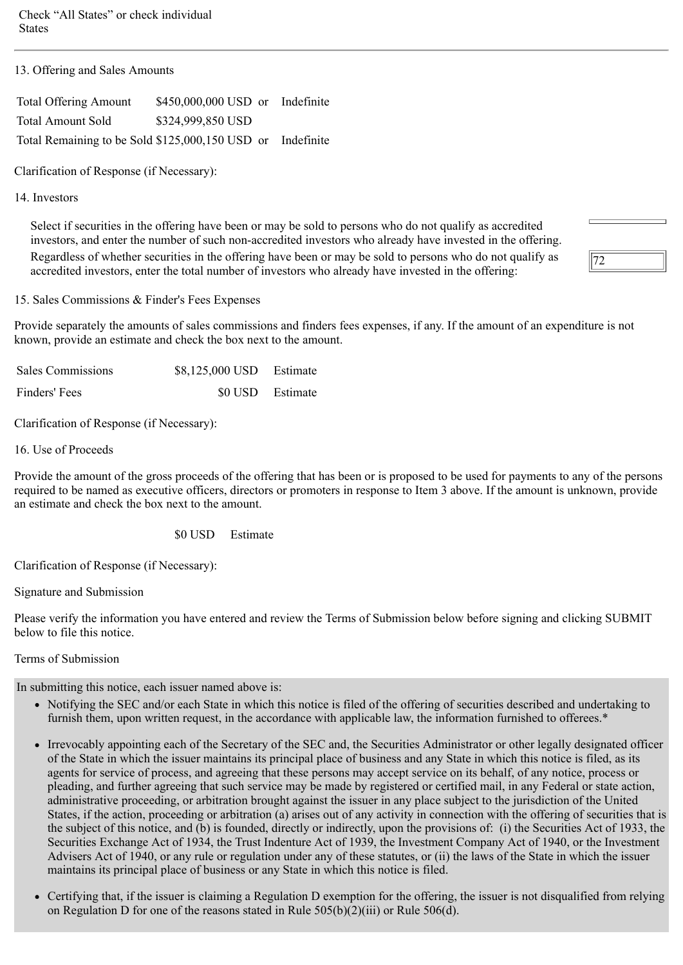Check "All States" or check individual States

#### 13. Offering and Sales Amounts

| <b>Total Offering Amount</b>                               | $$450,000,000$ USD or Indefinite |  |
|------------------------------------------------------------|----------------------------------|--|
| <b>Total Amount Sold</b>                                   | \$324,999,850 USD                |  |
| Total Remaining to be Sold \$125,000,150 USD or Indefinite |                                  |  |

Clarification of Response (if Necessary):

14. Investors

Select if securities in the offering have been or may be sold to persons who do not qualify as accredited investors, and enter the number of such non-accredited investors who already have invested in the offering. Regardless of whether securities in the offering have been or may be sold to persons who do not qualify as accredited investors, enter the total number of investors who already have invested in the offering:

#### 15. Sales Commissions & Finder's Fees Expenses

Provide separately the amounts of sales commissions and finders fees expenses, if any. If the amount of an expenditure is not known, provide an estimate and check the box next to the amount.

| Sales Commissions | \$8,125,000 USD Estimate |  |
|-------------------|--------------------------|--|
| Finders' Fees     | \$0 USD Estimate         |  |

Clarification of Response (if Necessary):

16. Use of Proceeds

Provide the amount of the gross proceeds of the offering that has been or is proposed to be used for payments to any of the persons required to be named as executive officers, directors or promoters in response to Item 3 above. If the amount is unknown, provide an estimate and check the box next to the amount.

\$0 USD Estimate

Clarification of Response (if Necessary):

Signature and Submission

Please verify the information you have entered and review the Terms of Submission below before signing and clicking SUBMIT below to file this notice.

Terms of Submission

In submitting this notice, each issuer named above is:

- Notifying the SEC and/or each State in which this notice is filed of the offering of securities described and undertaking to furnish them, upon written request, in the accordance with applicable law, the information furnished to offerees.\*
- Irrevocably appointing each of the Secretary of the SEC and, the Securities Administrator or other legally designated officer of the State in which the issuer maintains its principal place of business and any State in which this notice is filed, as its agents for service of process, and agreeing that these persons may accept service on its behalf, of any notice, process or pleading, and further agreeing that such service may be made by registered or certified mail, in any Federal or state action, administrative proceeding, or arbitration brought against the issuer in any place subject to the jurisdiction of the United States, if the action, proceeding or arbitration (a) arises out of any activity in connection with the offering of securities that is the subject of this notice, and (b) is founded, directly or indirectly, upon the provisions of: (i) the Securities Act of 1933, the Securities Exchange Act of 1934, the Trust Indenture Act of 1939, the Investment Company Act of 1940, or the Investment Advisers Act of 1940, or any rule or regulation under any of these statutes, or (ii) the laws of the State in which the issuer maintains its principal place of business or any State in which this notice is filed.
- Certifying that, if the issuer is claiming a Regulation D exemption for the offering, the issuer is not disqualified from relying on Regulation D for one of the reasons stated in Rule  $505(b)(2)(iii)$  or Rule  $506(d)$ .